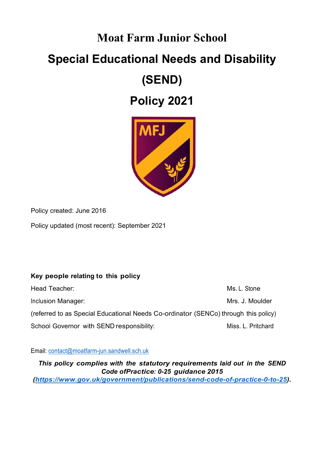# **Moat Farm Junior School Special Educational Needs and Disability (SEND)**

**Policy 2021**



Policy created: June 2016

Policy updated (most recent): September 2021

#### **Key people relating to this policy**

| Head Teacher:                                                                       | Ms. L. Stone       |
|-------------------------------------------------------------------------------------|--------------------|
| Inclusion Manager:                                                                  | Mrs. J. Moulder    |
| (referred to as Special Educational Needs Co-ordinator (SENCo) through this policy) |                    |
| School Governor with SEND responsibility:                                           | Miss. L. Pritchard |

Email: contact@moatfarm-jun.sandwell.sch.uk

*This policy complies with the statutory requirements laid out in the SEND Code ofPractice: 0-25 guidance 2015 (https://www.gov.uk/government/publications/send-code-of-practice-0-to-25).*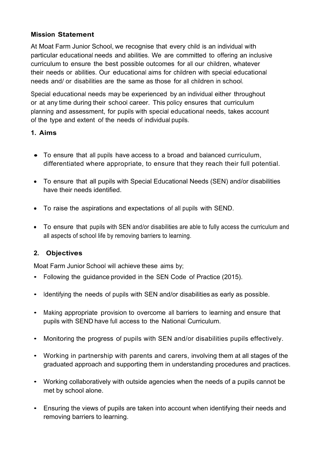#### **Mission Statement**

At Moat Farm Junior School, we recognise that every child is an individual with particular educational needs and abilities. We are committed to offering an inclusive curriculum to ensure the best possible outcomes for all our children, whatever their needs or abilities. Our educational aims for children with special educational needs and/ or disabilities are the same as those for all children in school.

Special educational needs may be experienced by an individual either throughout or at any time during their school career. This policy ensures that curriculum planning and assessment, for pupils with special educational needs, takes account of the type and extent of the needs of individual pupils.

#### **1. Aims**

- To ensure that all pupils have access to a broad and balanced curriculum, differentiated where appropriate, to ensure that they reach their full potential.
- To ensure that all pupils with Special Educational Needs (SEN) and/or disabilities have their needs identified.
- To raise the aspirations and expectations of all pupils with SEND.
- To ensure that pupils with SEN and/or disabilities are able to fully access the curriculum and all aspects of school life by removing barriers to learning.

# **2. Objectives**

Moat Farm Junior School will achieve these aims by;

- Following the guidance provided in the SEN Code of Practice (2015).
- Identifying the needs of pupils with SEN and/or disabilities as early as possible.
- Making appropriate provision to overcome all barriers to learning and ensure that pupils with SEND have full access to the National Curriculum.
- Monitoring the progress of pupils with SEN and/or disabilities pupils effectively.
- Working in partnership with parents and carers, involving them at all stages of the graduated approach and supporting them in understanding procedures and practices.
- Working collaboratively with outside agencies when the needs of a pupils cannot be met by school alone.
- Ensuring the views of pupils are taken into account when identifying their needs and removing barriers to learning.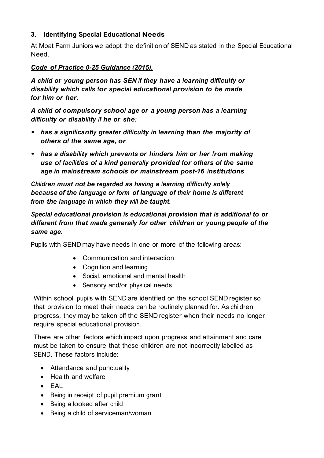#### **3. Identifying Special Educational Needs**

At Moat Farm Juniors we adopt the definition of SEND as stated in the Special Educational Need.

#### *Code of Practice 0-25 Guidance (2015).*

*A child or young person has SEN if they have a learning difficulty or disability which calls for special educational provision to be made for him or her.*

*A child of compulsory school age or a young person has a learning difficulty or disability if he or she:*

- *• has a significantly greater difficulty in learning than the majority of others of the same age, or*
- *• has a disability which prevents or hinders him or her from making use of facilities of a kind generally provided for others of the same age in mainstream schools or mainstream post-16 institutions*

*Children must not be regarded as having a learning difficulty solely because of the language or form of language of their home is different from the language in which they will be taught.*

*Special educational provision is educational provision that is additional to or different from that made generally for other children or young people of the same age.*

Pupils with SEND may have needs in one or more of the following areas:

- Communication and interaction
- Cognition and learning
- Social, emotional and mental health
- Sensory and/or physical needs

Within school, pupils with SEND are identified on the school SEND register so that provision to meet their needs can be routinely planned for. As children progress, they may be taken off the SEND register when their needs no longer require special educational provision.

There are other factors which impact upon progress and attainment and care must be taken to ensure that these children are not incorrectly labelled as SEND. These factors include:

- Attendance and punctuality
- Health and welfare
- EAL
- Being in receipt of pupil premium grant
- Being a looked after child
- Being a child of serviceman/woman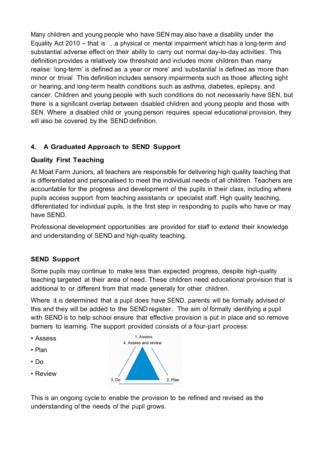Many children and young people who have SEN may also have a disability under the Equality Act 2010 – that is '…a physical or mental impairment which has a long-term and substantial adverse effect on their ability to carry out normal day-to-day activities'. This definition provides a relatively low threshold and includes more children than many realise: 'long-term' is defined as 'a year or more' and 'substantial' is defined as 'more than minor or trivial'. This definition includes sensory impairments such as those affecting sight or hearing, and long-term health conditions such as asthma, diabetes, epilepsy, and cancer. Children and young people with such conditions do not necessarily have SEN, but there is a significant overlap between disabled children and young people and those with SEN. Where a disabled child or young person requires special educational provision, they will also be covered by the SEND definition.

# **4. A Graduated Approach to SEND Support**

# **Quality First Teaching**

At Moat Farm Juniors, all teachers are responsible for delivering high quality teaching that is differentiated and personalised to meet the individual needs of all children. Teachers are accountable for the progress and development of the pupils in their class, including where pupils access support from teaching assistants or specialist staff. High quality teaching, differentiated for individual pupils, is the first step in responding to pupils who have or may have SEND.

Professional development opportunities are provided for staff to extend their knowledge and understanding of SEND and high-quality teaching.

# **SEND Support**

Some pupils may continue to make less than expected progress, despite high-quality teaching targeted at their area of need. These children need educational provision that is additional to or different from that made generally for other children.

Where it is determined that a pupil does have SEND, parents will be formally advised of this and they will be added to the SEND register. The aim of formally identifying a pupil with SEND is to help school ensure that effective provision is put in place and so remove barriers to learning. The support provided consists of a four-part process:

- Assess
- Plan
- Do
- Review



This is an ongoing cycle to enable the provision to be refined and revised as the understanding of the needs of the pupil grows.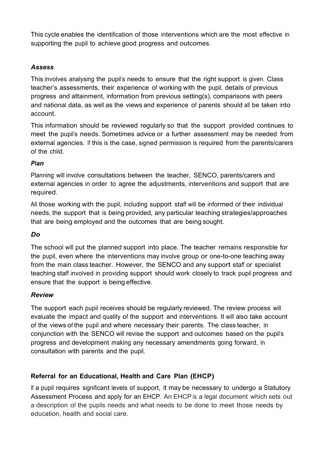This cycle enables the identification of those interventions which are the most effective in supporting the pupil to achieve good progress and outcomes.

# *Assess*

This involves analysing the pupil's needs to ensure that the right support is given. Class teacher's assessments, their experience of working with the pupil, details of previous progress and attainment, information from previous setting(s), comparisons with peers and national data, as well as the views and experience of parents should all be taken into account.

This information should be reviewed regularly so that the support provided continues to meet the pupil's needs. Sometimes advice or a further assessment may be needed from external agencies. If this is the case, signed permission is required from the parents/carers of the child.

# *Plan*

Planning will involve consultations between the teacher, SENCO, parents/carers and external agencies in order to agree the adjustments, interventions and support that are required.

All those working with the pupil, including support staff will be informed of their individual needs, the support that is being provided, any particular teaching strategies/approaches that are being employed and the outcomes that are being sought.

# *Do*

The school will put the planned support into place. The teacher remains responsible for the pupil, even where the interventions may involve group or one-to-one teaching away from the main class teacher. However, the SENCO and any support staff or specialist teaching staff involved in providing support should work closely to track pupil progress and ensure that the support is being effective.

# *Review*

The support each pupil receives should be regularly reviewed. The review process will evaluate the impact and quality of the support and interventions. It will also take account of the views of the pupil and where necessary their parents. The class teacher, in conjunction with the SENCO will revise the support and outcomes based on the pupil's progress and development making any necessary amendments going forward, in consultation with parents and the pupil.

# **Referral for an Educational, Health and Care Plan (EHCP)**

If a pupil requires significant levels of support, it may be necessary to undergo a Statutory Assessment Process and apply for an EHCP. An EHCP is a legal document which sets out a description of the pupils needs and what needs to be done to meet those needs by education, health and social care.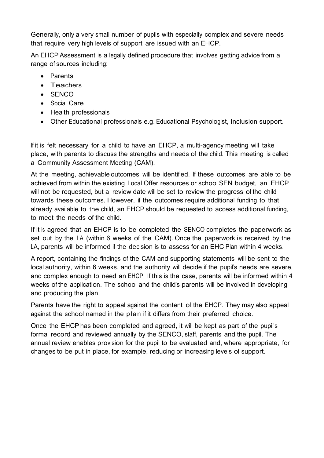Generally, only a very small number of pupils with especially complex and severe needs that require very high levels of support are issued with an EHCP.

An EHCP Assessment is a legally defined procedure that involves getting advice from a range of sources including:

- Parents
- Teachers
- SENCO
- Social Care
- Health professionals
- Other Educational professionals e.g. Educational Psychologist, Inclusion support.

If it is felt necessary for a child to have an EHCP, a multi-agency meeting will take place, with parents to discuss the strengths and needs of the child. This meeting is called a Community Assessment Meeting (CAM).

At the meeting, achievable outcomes will be identified. If these outcomes are able to be achieved from within the existing Local Offer resources or school SEN budget, an EHCP will not be requested, but a review date will be set to review the progress of the child towards these outcomes. However, if the outcomes require additional funding to that already available to the child, an EHCP should be requested to access additional funding, to meet the needs of the child.

If it is agreed that an EHCP is to be completed the SENCO completes the paperwork as set out by the LA (within 6 weeks of the CAM). Once the paperwork is received by the LA, parents will be informed if the decision is to assess for an EHC Plan within 4 weeks.

A report, containing the findings of the CAM and supporting statements will be sent to the local authority, within 6 weeks, and the authority will decide if the pupil's needs are severe, and complex enough to need an EHCP. If this is the case, parents will be informed within 4 weeks of the application. The school and the child's parents will be involved in developing and producing the plan.

Parents have the right to appeal against the content of the EHCP. They may also appeal against the school named in the plan if it differs from their preferred choice.

Once the EHCP has been completed and agreed, it will be kept as part of the pupil's formal record and reviewed annually by the SENCO, staff, parents and the pupil. The annual review enables provision for the pupil to be evaluated and, where appropriate, for changes to be put in place, for example, reducing or increasing levels of support.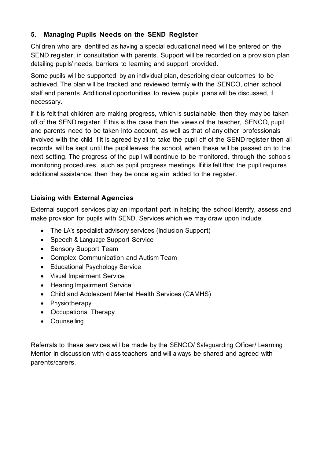# **5. Managing Pupils Needs on the SEND Register**

Children who are identified as having a special educational need will be entered on the SEND register, in consultation with parents. Support will be recorded on a provision plan detailing pupils' needs, barriers to learning and support provided.

Some pupils will be supported by an individual plan, describing clear outcomes to be achieved. The plan will be tracked and reviewed termly with the SENCO, other school staff and parents. Additional opportunities to review pupils' plans will be discussed, if necessary.

If it is felt that children are making progress, which is sustainable, then they may be taken off of the SEND register. If this is the case then the views of the teacher, SENCO, pupil and parents need to be taken into account, as well as that of any other professionals involved with the child. If it is agreed by all to take the pupil off of the SEND register then all records will be kept until the pupil leaves the school, when these will be passed on to the next setting. The progress of the pupil will continue to be monitored, through the schools monitoring procedures, such as pupil progress meetings. If it is felt that the pupil requires additional assistance, then they be once again added to the register.

#### **Liaising with External Agencies**

External support services play an important part in helping the school identify, assess and make provision for pupils with SEND. Services which we may draw upon include:

- The LA's specialist advisory services (Inclusion Support)
- Speech & Language Support Service
- Sensory Support Team
- Complex Communication and Autism Team
- Educational Psychology Service
- Visual Impairment Service
- Hearing Impairment Service
- Child and Adolescent Mental Health Services (CAMHS)
- Physiotherapy
- Occupational Therapy
- Counselling

Referrals to these services will be made by the SENCO/ Safeguarding Officer/ Learning Mentor in discussion with class teachers and will always be shared and agreed with parents/carers.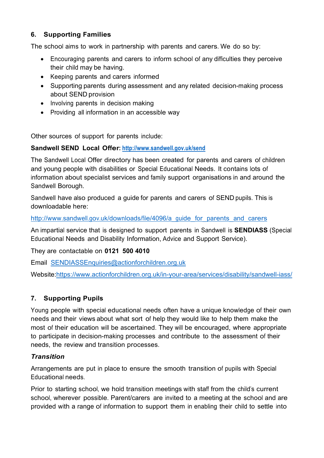#### **6. Supporting Families**

The school aims to work in partnership with parents and carers. We do so by:

- Encouraging parents and carers to inform school of any difficulties they perceive their child may be having.
- Keeping parents and carers informed
- Supporting parents during assessment and any related decision-making process about SEND provision
- Involving parents in decision making
- Providing all information in an accessible way

Other sources of support for parents include:

#### **Sandwell SEND Local Offer: http://www.sandwell.gov.uk/send**

The Sandwell Local Offer directory has been created for parents and carers of children and young people with disabilities or Special Educational Needs. It contains lots of information about specialist services and family support organisations in and around the Sandwell Borough.

Sandwell have also produced a guide for parents and carers of SEND pupils. This is downloadable here:

http://www.sandwell.gov.uk/downloads/file/4096/a\_guide\_for\_parents\_and\_carers

An impartial service that is designed to support parents in Sandwell is **SENDIASS** (Special Educational Needs and Disability Information, Advice and Support Service).

They are contactable on **0121 500 4010**

Email SENDIASSEnquiries@actionforchildren.org.uk

Website:https://www.actionforchildren.org.uk/in-your-area/services/disability/sandwell-iass/

# **7. Supporting Pupils**

Young people with special educational needs often have a unique knowledge of their own needs and their views about what sort of help they would like to help them make the most of their education will be ascertained. They will be encouraged, where appropriate to participate in decision-making processes and contribute to the assessment of their needs, the review and transition processes.

#### *Transition*

Arrangements are put in place to ensure the smooth transition of pupils with Special Educational needs.

Prior to starting school, we hold transition meetings with staff from the child's current school, wherever possible. Parent/carers are invited to a meeting at the school and are provided with a range of information to support them in enabling their child to settle into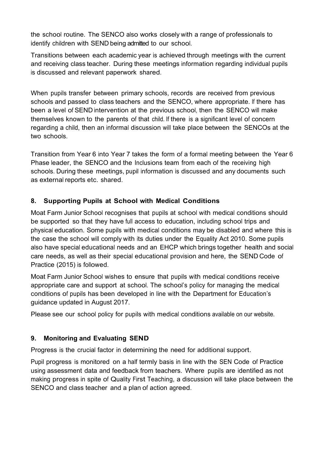the school routine. The SENCO also works closely with a range of professionals to identify children with SEND being admitted to our school.

Transitions between each academic year is achieved through meetings with the current and receiving class teacher. During these meetings information regarding individual pupils is discussed and relevant paperwork shared.

When pupils transfer between primary schools, records are received from previous schools and passed to class teachers and the SENCO, where appropriate. If there has been a level of SEND intervention at the previous school, then the SENCO will make themselves known to the parents of that child. If there is a significant level of concern regarding a child, then an informal discussion will take place between the SENCOs at the two schools.

Transition from Year 6 into Year 7 takes the form of a formal meeting between the Year 6 Phase leader, the SENCO and the Inclusions team from each of the receiving high schools. During these meetings, pupil information is discussed and any documents such as external reports etc. shared.

# **8. Supporting Pupils at School with Medical Conditions**

Moat Farm Junior School recognises that pupils at school with medical conditions should be supported so that they have full access to education, including school trips and physical education. Some pupils with medical conditions may be disabled and where this is the case the school will comply with its duties under the Equality Act 2010. Some pupils also have special educational needs and an EHCP which brings together health and social care needs, as well as their special educational provision and here, the SEND Code of Practice (2015) is followed.

Moat Farm Junior School wishes to ensure that pupils with medical conditions receive appropriate care and support at school. The school's policy for managing the medical conditions of pupils has been developed in line with the Department for Education's guidance updated in August 2017.

Please see our school policy for pupils with medical conditions available on our website.

#### **9. Monitoring and Evaluating SEND**

Progress is the crucial factor in determining the need for additional support.

Pupil progress is monitored on a half termly basis in line with the SEN Code of Practice using assessment data and feedback from teachers. Where pupils are identified as not making progress in spite of Quality First Teaching, a discussion will take place between the SENCO and class teacher and a plan of action agreed.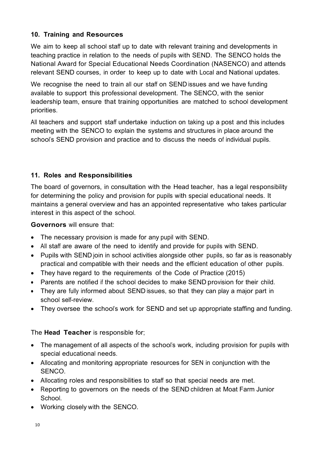#### **10. Training and Resources**

We aim to keep all school staff up to date with relevant training and developments in teaching practice in relation to the needs of pupils with SEND. The SENCO holds the National Award for Special Educational Needs Coordination (NASENCO) and attends relevant SEND courses, in order to keep up to date with Local and National updates.

We recognise the need to train all our staff on SEND issues and we have funding available to support this professional development. The SENCO, with the senior leadership team, ensure that training opportunities are matched to school development priorities.

All teachers and support staff undertake induction on taking up a post and this includes meeting with the SENCO to explain the systems and structures in place around the school's SEND provision and practice and to discuss the needs of individual pupils.

# **11. Roles and Responsibilities**

The board of governors, in consultation with the Head teacher, has a legal responsibility for determining the policy and provision for pupils with special educational needs. It maintains a general overview and has an appointed representative who takes particular interest in this aspect of the school.

**Governors** will ensure that:

- The necessary provision is made for any pupil with SEND.
- All staff are aware of the need to identify and provide for pupils with SEND.
- Pupils with SEND join in school activities alongside other pupils, so far as is reasonably practical and compatible with their needs and the efficient education of other pupils.
- They have regard to the requirements of the Code of Practice (2015)
- Parents are notified if the school decides to make SEND provision for their child.
- They are fully informed about SEND issues, so that they can play a major part in school self-review.
- They oversee the school's work for SEND and set up appropriate staffing and funding.

#### The **Head Teacher** is responsible for;

- The management of all aspects of the school's work, including provision for pupils with special educational needs.
- Allocating and monitoring appropriate resources for SEN in conjunction with the SENCO.
- Allocating roles and responsibilities to staff so that special needs are met.
- Reporting to governors on the needs of the SEND children at Moat Farm Junior School.
- Working closely with the SENCO.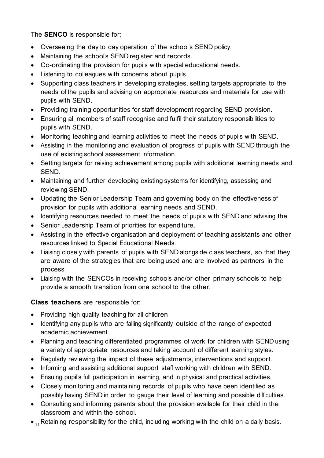The **SENCO** is responsible for;

- Overseeing the day to day operation of the school's SEND policy.
- Maintaining the school's SEND register and records.
- Co-ordinating the provision for pupils with special educational needs.
- Listening to colleagues with concerns about pupils.
- Supporting class teachers in developing strategies, setting targets appropriate to the needs of the pupils and advising on appropriate resources and materials for use with pupils with SEND.
- Providing training opportunities for staff development regarding SEND provision.
- Ensuring all members of staff recognise and fulfil their statutory responsibilities to pupils with SEND.
- Monitoring teaching and learning activities to meet the needs of pupils with SEND.
- Assisting in the monitoring and evaluation of progress of pupils with SEND through the use of existing school assessment information.
- Setting targets for raising achievement among pupils with additional learning needs and SEND.
- Maintaining and further developing existing systems for identifying, assessing and reviewing SEND.
- Updating the Senior Leadership Team and governing body on the effectiveness of provision for pupils with additional learning needs and SEND.
- Identifying resources needed to meet the needs of pupils with SEND and advising the
- Senior Leadership Team of priorities for expenditure.
- Assisting in the effective organisation and deployment of teaching assistants and other resources linked to Special Educational Needs.
- Liaising closely with parents of pupils with SEND alongside class teachers, so that they are aware of the strategies that are being used and are involved as partners in the process.
- Liaising with the SENCOs in receiving schools and/or other primary schools to help provide a smooth transition from one school to the other.

# **Class teachers** are responsible for:

- Providing high quality teaching for all children
- Identifying any pupils who are falling significantly outside of the range of expected academic achievement.
- Planning and teaching differentiated programmes of work for children with SEND using a variety of appropriate resources and taking account of different learning styles.
- Regularly reviewing the impact of these adjustments, interventions and support.
- Informing and assisting additional support staff working with children with SEND.
- Ensuing pupil's full participation in learning, and in physical and practical activities.
- Closely monitoring and maintaining records of pupils who have been identified as possibly having SEND in order to gauge their level of learning and possible difficulties.
- Consulting and informing parents about the provision available for their child in the classroom and within the school.
- $\bullet$  <sub>11</sub> Retaining responsibility for the child, including working with the child on a daily basis.